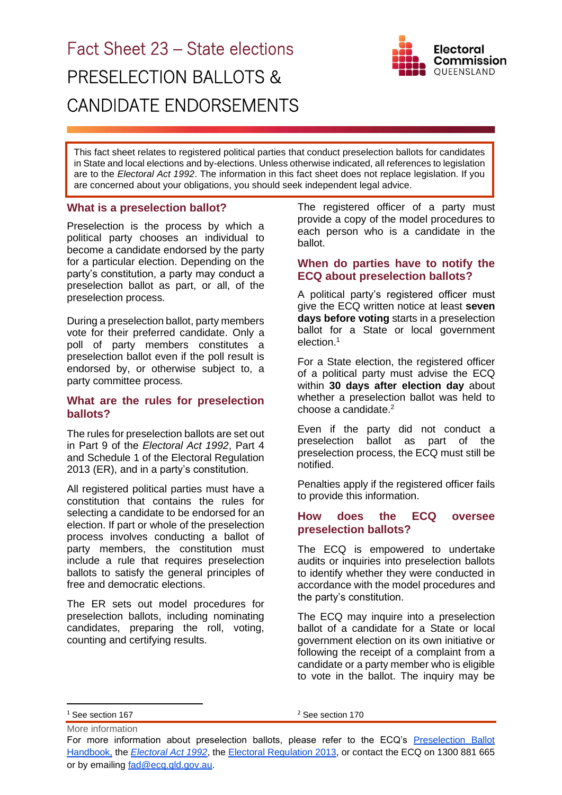# Fact Sheet 23 – State elections PRESELECTION BALLOTS & CANDIDATE ENDORSEMENTS



This fact sheet relates to registered political parties that conduct preselection ballots for candidates in State and local elections and by-elections. Unless otherwise indicated, all references to legislation are to the *Electoral Act 1992*. The information in this fact sheet does not replace legislation. If you are concerned about your obligations, you should seek independent legal advice.

## **What is a preselection ballot?**

Preselection is the process by which a political party chooses an individual to become a candidate endorsed by the party for a particular election. Depending on the party's constitution, a party may conduct a preselection ballot as part, or all, of the preselection process.

During a preselection ballot, party members vote for their preferred candidate. Only a poll of party members constitutes a preselection ballot even if the poll result is endorsed by, or otherwise subject to, a party committee process.

## **What are the rules for preselection ballots?**

The rules for preselection ballots are set out in Part 9 of the *Electoral Act 1992*, Part 4 and Schedule 1 of the Electoral Regulation 2013 (ER), and in a party's constitution.

All registered political parties must have a constitution that contains the rules for selecting a candidate to be endorsed for an election. If part or whole of the preselection process involves conducting a ballot of party members, the constitution must include a rule that requires preselection ballots to satisfy the general principles of free and democratic elections.

The ER sets out model procedures for preselection ballots, including nominating candidates, preparing the roll, voting, counting and certifying results.

The registered officer of a party must provide a copy of the model procedures to each person who is a candidate in the ballot.

# **When do parties have to notify the ECQ about preselection ballots?**

A political party's registered officer must give the ECQ written notice at least **seven days before voting** starts in a preselection ballot for a State or local government election. 1

For a State election, the registered officer of a political party must advise the ECQ within **30 days after election day** about whether a preselection ballot was held to choose a candidate. 2

Even if the party did not conduct a preselection ballot as part of the preselection process, the ECQ must still be notified.

Penalties apply if the registered officer fails to provide this information.

#### **How does the ECQ oversee preselection ballots?**

The ECQ is empowered to undertake audits or inquiries into preselection ballots to identify whether they were conducted in accordance with the model procedures and the party's constitution.

The ECQ may inquire into a preselection ballot of a candidate for a State or local government election on its own initiative or following the receipt of a complaint from a candidate or a party member who is eligible to vote in the ballot. The inquiry may be

<sup>2</sup> See section 170

More information <sup>1</sup> See section 167

For more information about preselection ballots, please refer to the ECQ's [Preselection Ballot](https://www.ecq.qld.gov.au/election-participants/handbooks,-fact-sheets-and-forms)  [Handbook,](https://www.ecq.qld.gov.au/election-participants/handbooks,-fact-sheets-and-forms) the *[Electoral Act 1992](https://www.legislation.qld.gov.au/view/html/inforce/current/act-1992-028)*, the [Electoral Regulation 2013,](https://www.legislation.qld.gov.au/view/html/inforce/current/sl-2013-0013) or contact the ECQ on 1300 881 665 or by emailing [fad@ecq.qld.gov.au.](mailto:fad@ecq.qld.gov.au)